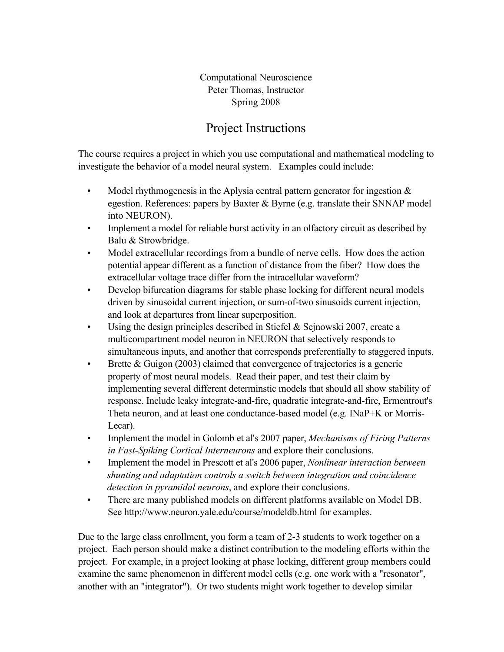Computational Neuroscience Peter Thomas, Instructor Spring 2008

# Project Instructions

The course requires a project in which you use computational and mathematical modeling to investigate the behavior of a model neural system. Examples could include:

- Model rhythmogenesis in the Aplysia central pattern generator for ingestion  $\&$ egestion. References: papers by Baxter & Byrne (e.g. translate their SNNAP model into NEURON).
- Implement a model for reliable burst activity in an olfactory circuit as described by Balu & Strowbridge.
- Model extracellular recordings from a bundle of nerve cells. How does the action potential appear different as a function of distance from the fiber? How does the extracellular voltage trace differ from the intracellular waveform?
- Develop bifurcation diagrams for stable phase locking for different neural models driven by sinusoidal current injection, or sum-of-two sinusoids current injection, and look at departures from linear superposition.
- Using the design principles described in Stiefel & Sejnowski 2007, create a multicompartment model neuron in NEURON that selectively responds to simultaneous inputs, and another that corresponds preferentially to staggered inputs.
- Brette & Guigon (2003) claimed that convergence of trajectories is a generic property of most neural models. Read their paper, and test their claim by implementing several different determinstic models that should all show stability of response. Include leaky integrate-and-fire, quadratic integrate-and-fire, Ermentrout's Theta neuron, and at least one conductance-based model (e.g. INaP+K or Morris-Lecar).
- Implement the model in Golomb et al's 2007 paper, *Mechanisms of Firing Patterns in Fast-Spiking Cortical Interneurons* and explore their conclusions.
- Implement the model in Prescott et al's 2006 paper, *Nonlinear interaction between shunting and adaptation controls a switch between integration and coincidence detection in pyramidal neurons*, and explore their conclusions.
- There are many published models on different platforms available on Model DB. See http://www.neuron.yale.edu/course/modeldb.html for examples.

Due to the large class enrollment, you form a team of 2-3 students to work together on a project. Each person should make a distinct contribution to the modeling efforts within the project. For example, in a project looking at phase locking, different group members could examine the same phenomenon in different model cells (e.g. one work with a "resonator", another with an "integrator"). Or two students might work together to develop similar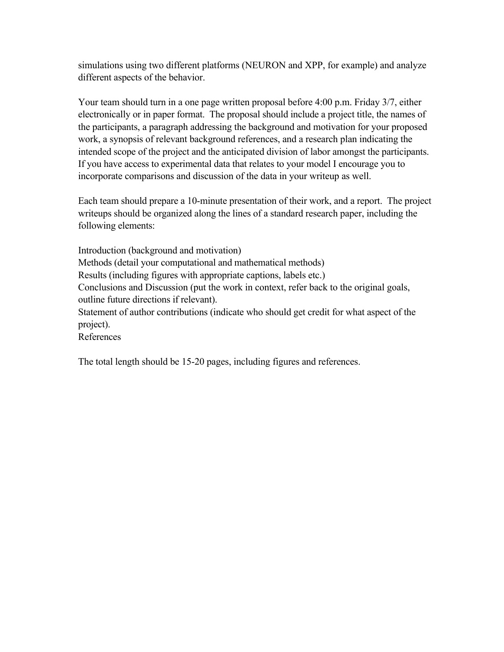simulations using two different platforms (NEURON and XPP, for example) and analyze different aspects of the behavior.

Your team should turn in a one page written proposal before 4:00 p.m. Friday 3/7, either electronically or in paper format. The proposal should include a project title, the names of the participants, a paragraph addressing the background and motivation for your proposed work, a synopsis of relevant background references, and a research plan indicating the intended scope of the project and the anticipated division of labor amongst the participants. If you have access to experimental data that relates to your model I encourage you to incorporate comparisons and discussion of the data in your writeup as well.

Each team should prepare a 10-minute presentation of their work, and a report. The project writeups should be organized along the lines of a standard research paper, including the following elements:

Introduction (background and motivation) Methods (detail your computational and mathematical methods) Results (including figures with appropriate captions, labels etc.) Conclusions and Discussion (put the work in context, refer back to the original goals, outline future directions if relevant). Statement of author contributions (indicate who should get credit for what aspect of the project). References

The total length should be 15-20 pages, including figures and references.